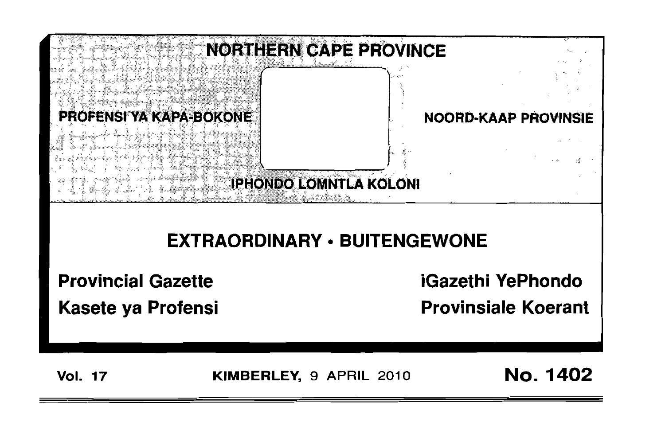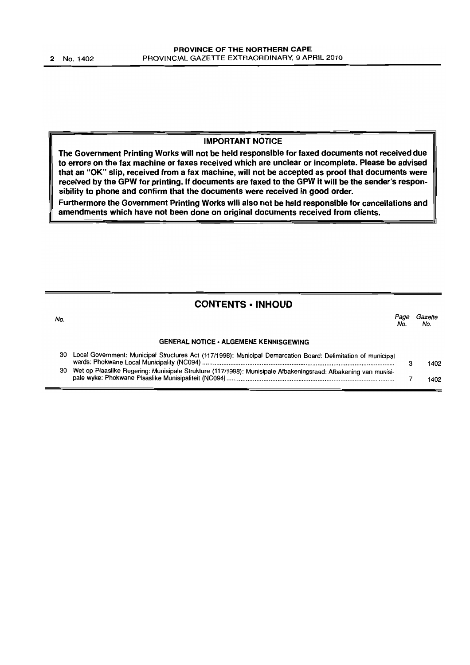#### IMPORTANT NOTICE

The Government Printing Works will not be held responsible for faxed documents not received due to errors on the fax machine or faxes received which are unclear or incomplete. Please be advised that an "OK" Slip, received from a fax machine, will not be accepted as proof that documents were received by the GPW for printing. If documents are faxed to the GPW it will be the sender's responsibility to phone and confirm that the documents were received in good order.

Furthermore the Government Printing Works will also not be held responsible for cancellations and amendments which have not been done on original documents received from clients.

# CONTENTS • INHOUD

| No. |                                                                                                                | Page<br>No. | Gazette<br>No. |
|-----|----------------------------------------------------------------------------------------------------------------|-------------|----------------|
|     | <b>GENERAL NOTICE · ALGEMENE KENNISGEWING</b>                                                                  |             |                |
| 30  | Local Government: Municipal Structures Act (117/1998): Municipal Demarcation Board: Delimitation of municipal  |             | 1402           |
| 30  | Wet op Plaaslike Regering: Munisipale Strukture (117/1998): Munisipale Afbakeningsraad: Afbakening van munisi- |             | 1402           |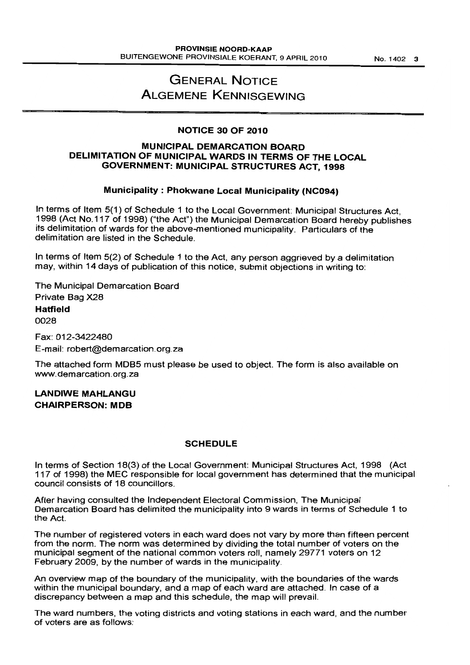# GENERAL NOTICE ALGEMENE KENNISGEWING

### NOTICE 30 OF 2010

### MUNICIPAL DEMARCATION BOARD DELIMITATION OF MUNICIPAL WARDS IN TERMS OF THE LOCAL GOVERNMENT: MUNICIPAL STRUCTURES ACT, 1998

### Municipality: Phokwane Local Municipality (NC094)

In terms of Item 5(1) of Schedule 1 to the Local Government: Municipal Structures Act, 1998 (Act No. 117 of 1998) ("the Act") the Municipal Demarcation Board hereby publishes its delimitation of wards for the above-mentioned municipality. Particulars of the delimitation are listed in the Schedule.

In terms of Item 5(2) of Schedule 1 to the Act, any person aggrieved by a delimitation may, within 14 days of publication of this notice, submit objections in writing to:

The Municipal Demarcation Board Private Bag X28 **Hatfield** 0028

Fax: 012-3422480 E-mail: robert@demarcation.org.za

The attached form MOBS must please be used to object. The form is also available on www.demarcation.org.za

LANDIWE MAHLANGU CHAIRPERSON: MOB

#### **SCHEDULE**

In terms of Section 18(3) of the Local Government: Municipal Structures Act, 1998 (Act 117 of 1998) the MEC responsible for local government has determined that the municipal council consists of 18 councillors.

After having consulted the Independent Electoral Commission, The Municipal Demarcation Board has delimited the municipality into 9 wards in terms of Schedule 1 to the Act.

The number of registered voters in each ward does not vary by more than fifteen percent from the norm. The norm was determined by dividing the total number of voters on the municipal segment of the national common voters roll, namely 29771 voters on 12 February 2009, by the number of wards in the municipality.

An overview map of the boundary of the municipality, with the boundaries of the wards within the municipal boundary, and a map of each ward are attached. In case of a discrepancy between a map and this schedule, the map will prevail.

The ward numbers, the voting districts and voting stations in each ward, and the number of voters are as follows: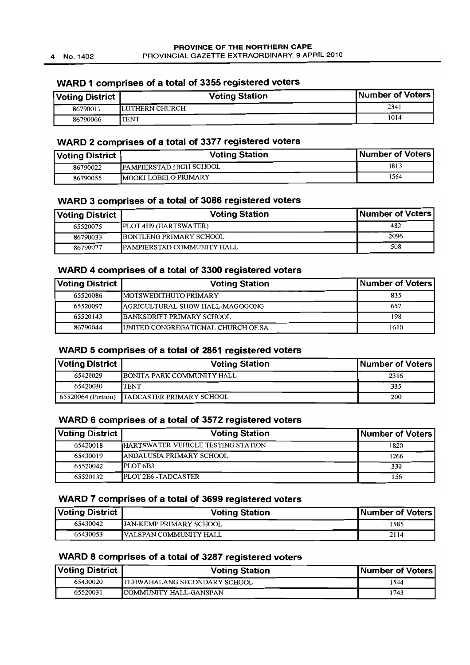# **WARD 1 comprises of a total of 3355 registered voters**

| <b>Voting District</b> | Voting Station | Number of Voters |
|------------------------|----------------|------------------|
| 86790011               | LUTHERN CHURCH | 2341             |
| 86790066               | <b>TENT</b>    | 1014             |

#### **WARD 2 comprises of a total of 3377 registered voters**

| <b>Voting District</b> | <b>Voting Station</b>          | <b>Number of Voters</b> |
|------------------------|--------------------------------|-------------------------|
| 86790022               | <b>PAMPIERSTAD HIGH SCHOOL</b> | 1813                    |
| 86790055               | <b>IMOOKI LOBELO PRIMARY</b>   | 1564                    |

### **WARD 3 comprises of a total of 3086 registered voters**

| <b>Voting District</b> | <b>Voting Station</b>              | <b>Number of Voters</b> |
|------------------------|------------------------------------|-------------------------|
| 65520075               | PLOT 4H9 (HARTSWATER)              | 482                     |
| 86790033               | <b>IBONTLENG PRIMARY SCHOOL</b>    | 2096                    |
| 86790077               | <b>IPAMPIERSTAD COMMUNITY HALL</b> | 508                     |

### **WARD 4 comprises of a total of 3300 registered voters**

| <b>Voting District</b> | <b>Voting Station</b>                      | Number of Voters |
|------------------------|--------------------------------------------|------------------|
| 65520086               | <b>MOTSWEDITHUTO PRIMARY</b>               | 835              |
| 65520097               | AGRICULTURAL SHOW HALL-MAGOGONG            | 657              |
| 65520143               | BANKSDRIFT PRIMARY SCHOOL                  | 198              |
| 86790044               | <b>IUNITED CONGREGATIONAL CHURCH OF SA</b> | 1610             |

# **WARD 5 comprises of a total of 2851 registered voters**

| Voting District | <b>Voting Station</b>                       | Number of Voters |
|-----------------|---------------------------------------------|------------------|
| 65420029        | <b>IBONITA PARK COMMUNITY HALL</b>          | 2316             |
| 65420030        | <b>TENT</b>                                 | 335              |
|                 | 65520064 (Portion) TADCASTER PRIMARY SCHOOL | 200              |

# **WARD 6 comprises of a total of 3572 registered voters**

| <b>Voting District</b> | <b>Voting Station</b>              | <b>Number of Voters</b> |
|------------------------|------------------------------------|-------------------------|
| 65420018               | HARTSWATER VEHICLE TESTING STATION | 1820                    |
| 65430019               | <b>JANDALUSIA PRIMARY SCHOOL</b>   | 1266                    |
| 65520042               | PLOT <sub>6B3</sub>                | 330                     |
| 65520132               | <b>IPLOT 2E6 -TADCASTER</b>        | 156                     |

### **WARD 7 comprises of a total of 3699 registered voters**

| Voting District | <b>Voting Station</b>          | Number of Voters |
|-----------------|--------------------------------|------------------|
| 65430042        | <b>JAN-KEMP PRIMARY SCHOOL</b> | 1585             |
| 65430053        | <b>IVALSPAN COMMUNITY HALL</b> | 2114             |

# **WARD 8 comprises of a total of 3287 registered voters**

| <b>Voting District</b> | <b>Voting Station</b>               | Number of Voters |
|------------------------|-------------------------------------|------------------|
| 65430020               | <b>TLHWAHALANG SECONDARY SCHOOL</b> | 1544             |
| 65520031               | <b>ICOMMUNITY HALL-GANSPAN</b>      | 1743             |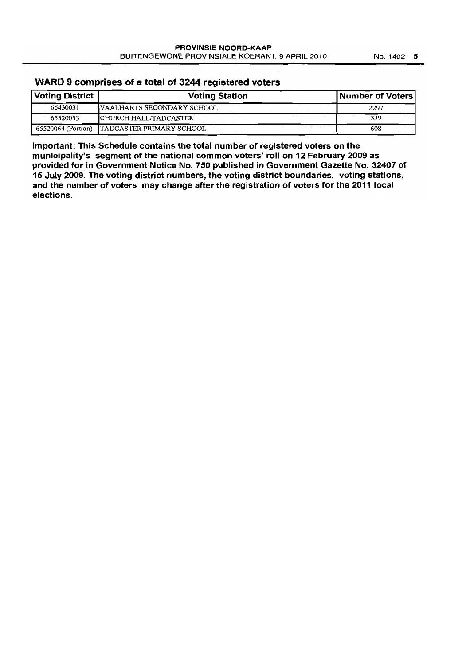### WARD 9 comprises of a total of 3244 registered voters

| Voting District | <b>Voting Station</b>                       | Number of Voters |
|-----------------|---------------------------------------------|------------------|
| 65430031        | VAALHARTS SECONDARY SCHOOL                  | 2297             |
| 65520053        | CHURCH HALL/TADCASTER                       | 339              |
|                 | 65520064 (Portion) TADCASTER PRIMARY SCHOOL | 608              |

Important: This Schedule contains the total number of registered voters on the municipality's segment of the national common voters' roll on 12 February 2009 as provided for in Government Notice No. 750 published in Government Gazette No. 32407 of 15 July 2009. The voting district numbers, the voting district boundaries, voting stations, and the number of voters may change after the registration of voters for the 2011 local elections.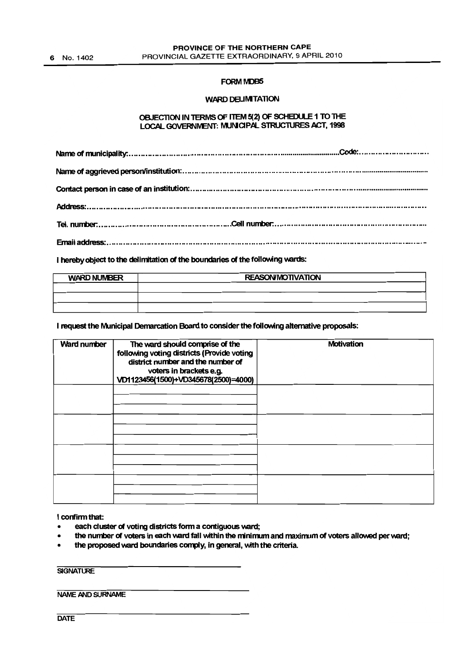#### FORM MDB5

#### WARD DELIMITATION

#### OBJECTION IN TERMS OF ITEM 5(2) OF SCHEDULE 1 TO THE LOCAL GOVERNMENT: MUNICIPAL STRUCTURES ACT, 1998

I hereby object to the delimitation of the boundaries of the following wards:

| <b>WARD NUMBER</b> | <b>REASON/MOTIVATION</b> |
|--------------------|--------------------------|
|                    |                          |
|                    |                          |
|                    |                          |

I request the Municipal Demarcation Board to consider the following alternative proposals:

| Ward number | The ward should comprise of the<br>following voting districts (Provide voting<br>district number and the number of<br>voters in brackets e.g.<br>VD1123456(1500)+VD345678(2500)=4000) | Motivation |
|-------------|---------------------------------------------------------------------------------------------------------------------------------------------------------------------------------------|------------|
|             |                                                                                                                                                                                       |            |
|             |                                                                                                                                                                                       |            |
|             |                                                                                                                                                                                       |            |
|             |                                                                                                                                                                                       |            |

#### I confinn that:

- each cluster of voting districts form a contiguous ward;
- the number of voters in each ward fall within the minimum and maximum of voters allowed per ward;
- the proposed ward boundaries comply, in general, with the criteria.

### **SIGNATURE**

NAME AND SURNAME

**DATE**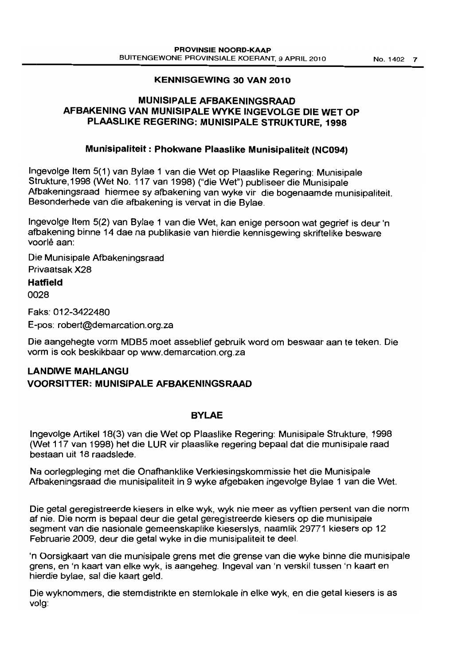### KENNISGEWING 30 VAN 2010

# MUNISIPALE AFBAKENINGSRAAD AFBAKENING VAN MUNISIPALE WYKE INGEVOLGE DIE WET OP PLAASLIKE REGERING: MUNISIPALE STRUKTURE, 1998

# Munisipaliteit : Phokwane Plaaslike Munisipaliteit (NC094)

Ingevolge Item 5(1) van 8ylae 1 van die Wet op Plaaslike Regering: Munisipale Strukture, 1998 (Wet No. 117 van 1998) ("die Wet") publiseer die Munisipale Afbakeningsraad hiermee sy afbakening van wyke vir die bogenaamde munisipaliteit. Besonderhede van die afbakening is vervat in die Bylae.

Ingevolge Item 5(2) van Bylae 1 van die Wet, kan enige persoon wat gegrief is deur 'n afbakening binne 14 dae na publikasie van hierdie kennisgewing skriftelike besware voorlê aan:

Die Munisipale Afbakeningsraad Privaatsak X28 Hatfield

0028

Faks: 012-3422480

E-pos: robert@demarcation.org.za

Die aangehegte vorm MDB5 moet asseblief gebruik word om beswaar aan te teken. Die vorm is ook beskikbaar op www.demarcation.org.za

# LANDIWE MAHLANGU VOORSITTER: MUNISIPALE AFBAKENINGSRAAD

#### BYLAE

Ingevolge Artikel 18(3) van die Wet op Plaaslike Regering: Munisipale Strukture, 1998 (Wet 117 van 1998) het die LUR vir plaaslike regering bepaal dat die munisipale raad bestaan uit 18 raadslede.

Na oorlegpleging met die Onafhanklike Verkiesingskommissie het die Munisipale Afbakeningsraad die munisipaliteit in 9 wyke afgebaken ingevolge Bylae 1 van die Wet.

Die getal geregistreerde kiesers in elke wyk, wyk nie meer as vyftien persent van die norm af nie. Die norm is bepaal deur die getal geregistreerde kiesers op die munisipale segment van die nasionale gemeenskaplike kieserslys, naamlik 29771 kiesers op 12 Februarie 2009, deur die getal wyke in die munisipaliteit te deal.

'n Oorsigkaart van die munisipale grens met die grense van die wyke binne die munisipale grens, en 'n kaart van elke wyk, is aangeheg. Ingeval van 'n verskil tussen 'n kaart en hierdie bylae, sal die kaart geld.

Die wyknommers, die stemdistrikte en stemlokale in elke wyk, en die getal kiesers is as volg: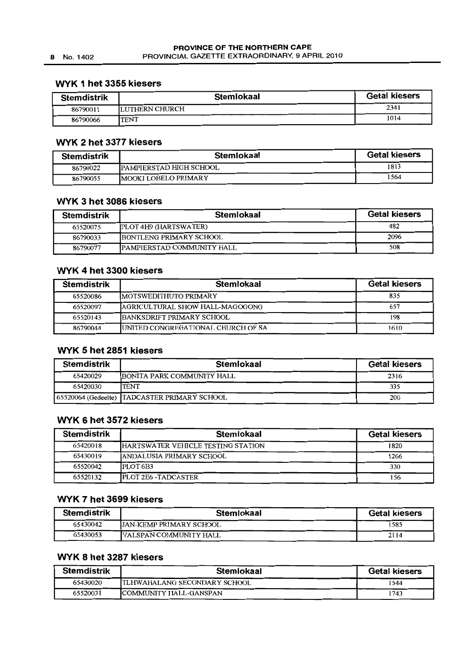### **WYK 1 het 3355 kiesers**

| <b>Stemdistrik</b> | <b>Stemlokaal</b> | <b>Getal kiesers</b> |
|--------------------|-------------------|----------------------|
| 86790011           | 'LUTHERN CHURCH   | 2341                 |
| 86790066           | <b>TENT</b>       | 1014                 |

# **WYK 2 het 3377 kiesers**

| <b>Stemdistrik</b> | <b>Stemlokaal</b>               | <b>Getal kiesers</b> |
|--------------------|---------------------------------|----------------------|
| 86790022           | <b>IPAMPIERSTAD HIGH SCHOOL</b> | 1813                 |
| 86790055           | <b>IMOOKI LOBELO PRIMARY</b>    | 1564                 |

### **WYK 3 het 3086 kiesers**

| <b>Stemdistrik</b> | <b>Stemlokaal</b>                  | <b>Getal kiesers</b> |
|--------------------|------------------------------------|----------------------|
| 65520075           | <b>PLOT 4H9 (HARTSWATER)</b>       | 482                  |
| 86790033           | <b>IBONTLENG PRIMARY SCHOOL</b>    | 2096                 |
| 86790077           | <b>IPAMPIERSTAD COMMUNITY HALL</b> | 508                  |

### **WYK 4 het 3300 kiesers**

| <b>Stemdistrik</b> | <b>Stemlokaal</b>                  | <b>Getal kiesers</b> |
|--------------------|------------------------------------|----------------------|
| 65520086           | <b>IMOTSWEDITHUTO PRIMARY</b>      | 835                  |
| 65520097           | AGRICULTURAL SHOW HALL-MAGOGONG    | 657                  |
| 65520143           | <b>BANKSDRIFT PRIMARY SCHOOL</b>   | 198                  |
| 86790044           | UNITED CONGREGATIONAL CHURCH OF SA | 1610                 |

# **WYK 5 het 2851 kiesers**

| <b>Stemdistrik</b> | <b>Stemlokaal</b>                             | <b>Getal kiesers</b> |
|--------------------|-----------------------------------------------|----------------------|
| 65420029           | BONITA PARK COMMUNITY HALL                    | 2316                 |
| 65420030           | <b>TENT</b>                                   | 335                  |
|                    | [65520064 (Gedeelte) TADCASTER PRIMARY SCHOOL | 200                  |

### **WYK 6 het 3572 kiesers**

| <b>Stemdistrik</b> | <b>Stemlokaal</b>                         | <b>Getal kiesers</b> |
|--------------------|-------------------------------------------|----------------------|
| 65420018           | <b>HARTSWATER VEHICLE TESTING STATION</b> | 1820                 |
| 65430019           | <b>JANDALUSIA PRIMARY SCHOOL</b>          | 1266                 |
| 65520042           | PLOT <sub>6</sub> B <sub>3</sub>          | 330                  |
| 65520132           | <b>PLOT 2E6 -TADCASTER</b>                | 156                  |

# **WYK 7 het 3699 kiesers**

| <b>Stemdistrik</b> | <b>Stemlokaal</b>               | <b>Getal kiesers</b> |
|--------------------|---------------------------------|----------------------|
| 65430042           | <b>JJAN-KEMP PRIMARY SCHOOL</b> | 1585                 |
| 65430053           | <b>VALSPAN COMMUNITY HALL</b>   | 2114                 |

# **WYK 8 het 3287 kiesers**

| <b>Stemdistrik</b> | Stemlokaal                    | <b>Getal kiesers</b> |
|--------------------|-------------------------------|----------------------|
| 65430020           | ITLHWAHALANG SECONDARY SCHOOL | 1544                 |
| 65520031           | COMMUNITY HALL-GANSPAN        | 1743                 |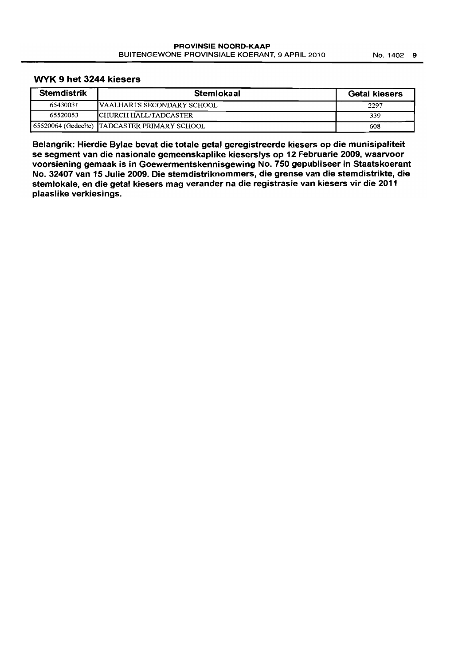#### WYK 9 het 3244 kiesers

| <b>Stemdistrik</b> | <b>Stemlokaal</b>                            | <b>Getal kiesers</b> |
|--------------------|----------------------------------------------|----------------------|
| 65430031           | <b>IVAALHARTS SECONDARY SCHOOL</b>           | 2297                 |
| 65520053           | <b>CHURCH HALL/TADCASTER</b>                 | 339                  |
|                    | 65520064 (Gedeelte) TADCASTER PRIMARY SCHOOL | 608                  |

Belangrik: Hierdie Bylae bevat die totale getal geregistreerde kiesers op die munisipaliteit se segment van die nasionale gemeenskaplike kieserslys op 12 Februarie 2009, waarvoor voorsiening gemaak is in Goewermentskennisgewing No. 750 gepubliseer in Staatskoerant No. 32407 van 15 Julie 2009. Die stemdistriknommers, die grense van die stemdistrikte, die stemtokate, en die getat kiesers mag verander na die registrasie van kiesers vir die 2011 plaaslike verkiesings.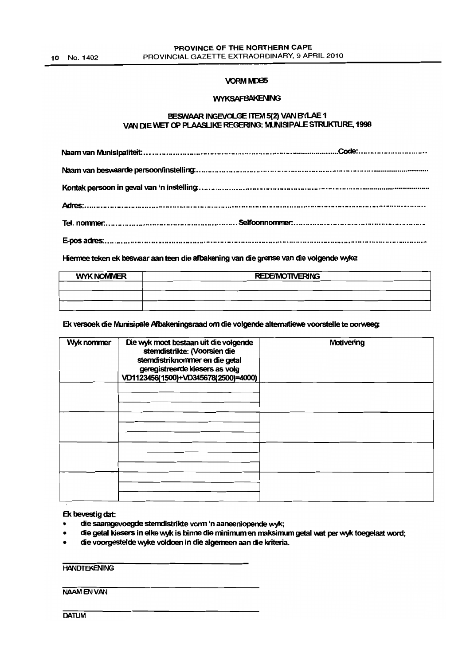#### **VORM NDB5**

#### **WYKSAFBAKENING**

#### BESWAAR INGEVOLGE ITEM 5(2) VAN BYLAE 1 VAN DIE WET OP PLAASLIKE REGERING: MUNISIPALE STRUKTURE, 1998

Hiermee teken ek beswaar aan teen die afbakening van die grense van die volgende wyke:

| <b>WYK NOMMER</b> | <b>REDE/MOTIVERING</b> |
|-------------------|------------------------|
|                   |                        |
|                   |                        |
|                   |                        |

### Ek versoek die Munisipale Afbakeningsraad om die volgende alternatiewe voorstelle te oorweeg:

| Wyk nommer | Die wyk moet bestaan uit die volgende<br>stemdistrikte: (Voorsien die<br>stemdistriknommer en die getal<br>geregistreerde kiesers as volg<br>VD1123456(1500)+VD345678(2500)=4000) | Motivering |
|------------|-----------------------------------------------------------------------------------------------------------------------------------------------------------------------------------|------------|
|            |                                                                                                                                                                                   |            |
|            |                                                                                                                                                                                   |            |
|            |                                                                                                                                                                                   |            |
|            |                                                                                                                                                                                   |            |

#### Ek bevestig dat:

- die saamgevoegde stemdistrikte vonn 'n aaneenlopende wyk;
- die getal kiesers in elke wyk is binne die minimum en maksimum getal wat per wyk toegelaat word;
- die voorgestelde wyke voldoen in die algemeen aan die kriteria.

**HANDTEKENING** 

#### NAAM EN VAN

**DATUM**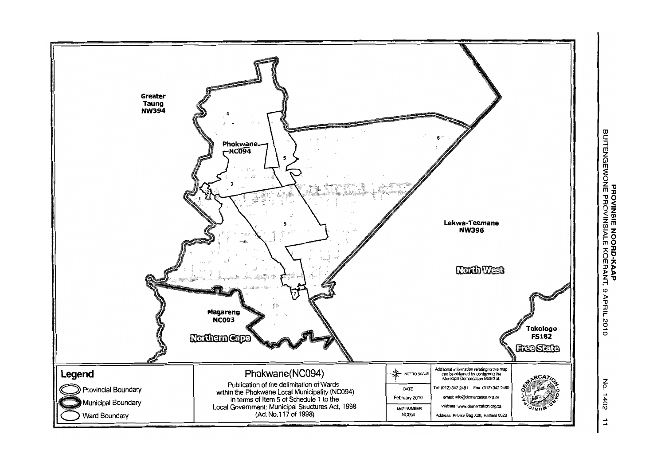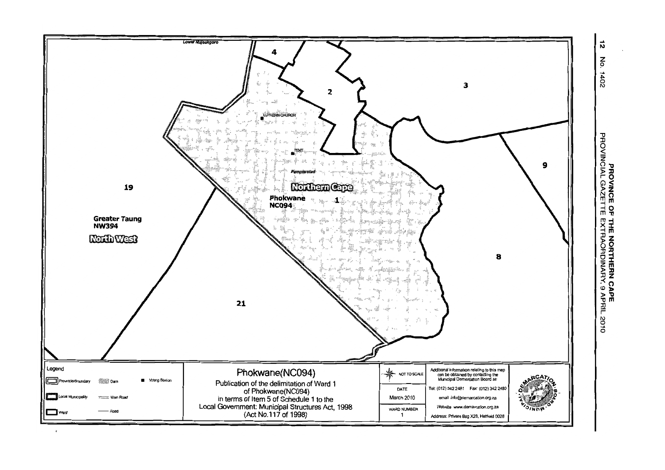

 $\mathbf{r}$ 

**PROVINCE OF<br>PROVINCIAL GAZETTE** THE NORTHERN CAPE<br>EXTRAORDINARY, 9 APRIL 2010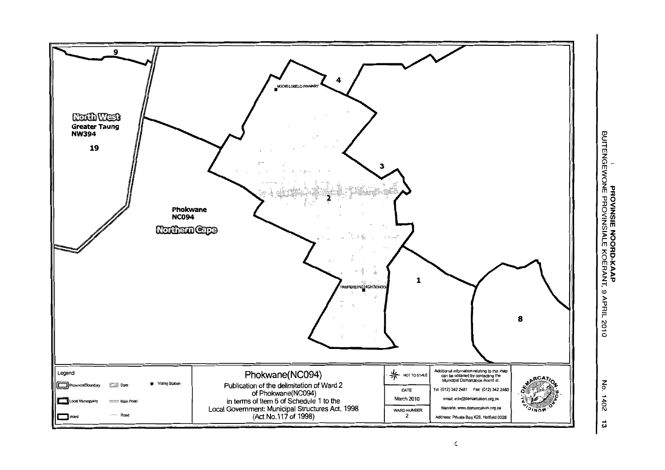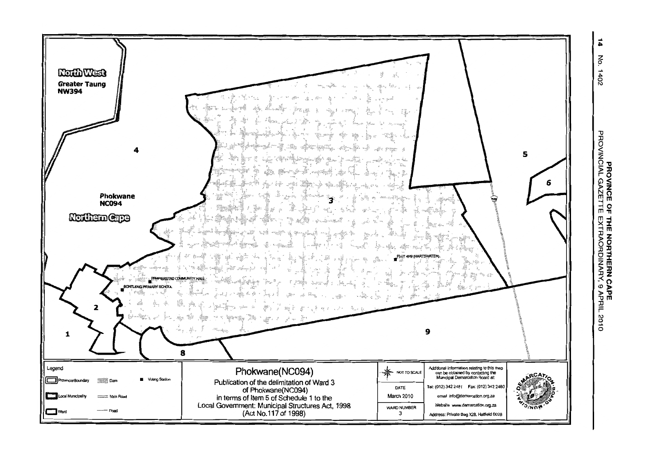

PROVINCE OF THE NORTHERN CAPE<br>PROVINCIAL GAZETTE EXTRAORDINARY, 9 APRIL 2010

 $\sharp$ 

 $\frac{5}{5}$ 

1402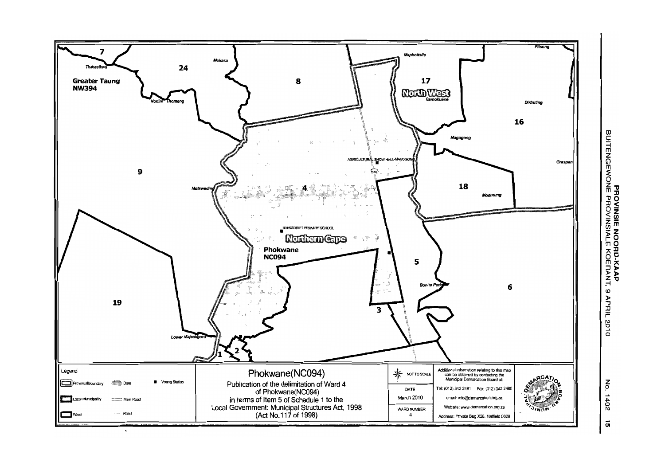

**PROVINSIE NOORD-KAAP<br>BUITENGEWONE PROVINSIALE KOERANT, 9 APRIL 2010** 

No. 1402 ູ່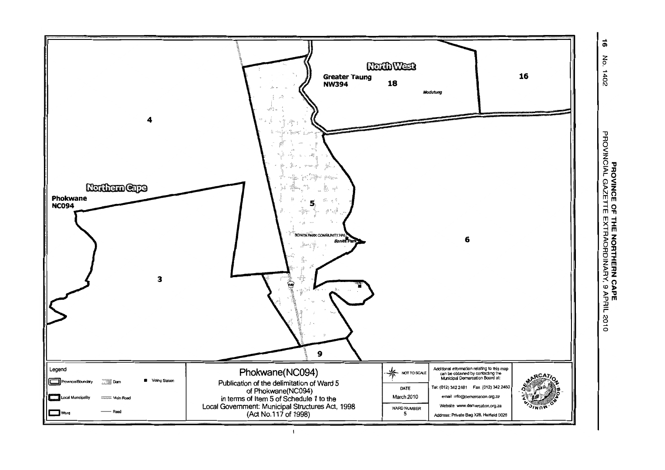

PROVINCE OF THE NORTHERN CAPE<br>PROVINCIAL GAZETTE EXTRAORDINARY, 9 APRIL 2010

 $\vec{e}$ No. 1402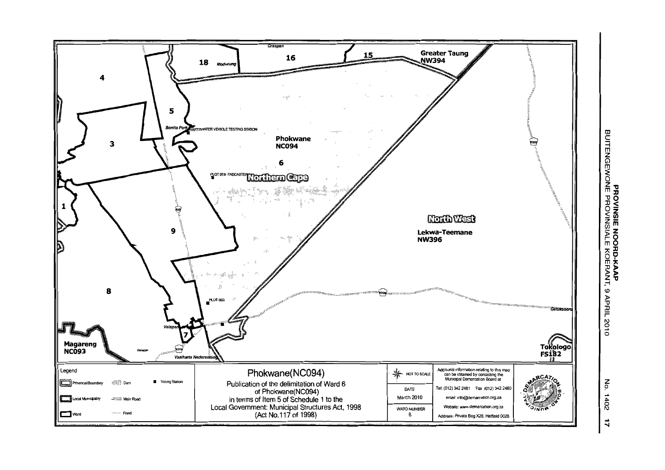

**PROVINSIE NOORD-KAAP<br>BUITENGEWONE PROVINSIALE KOERANT, 9 APRIL 2010** 

No. 1402  $\overline{u}$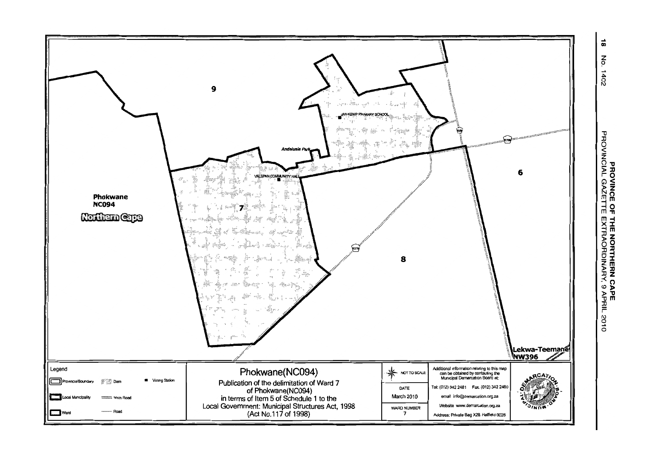

**PROVINCE OF<br>PROVINCIAL GAZETTE** THE NORTHERN CAPE<br>EXTRAORDINARY, 9 APRIL 2010

 $\vec{a}$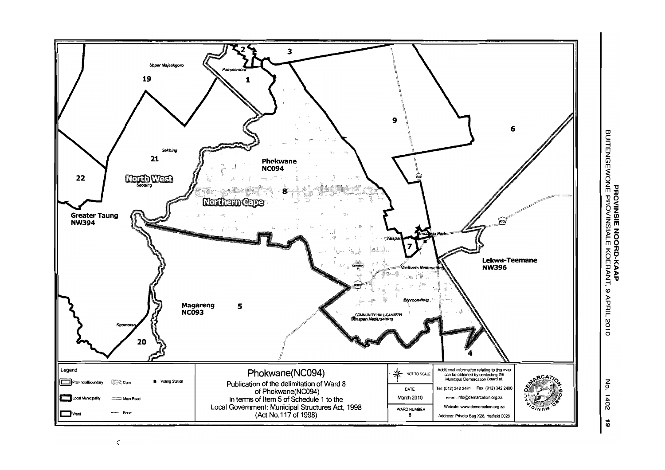

No. 1402  $\vec{6}$